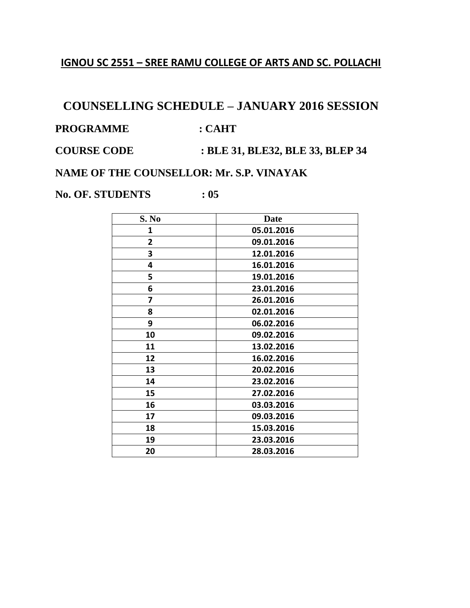#### **IGNOU SC 2551 – SREE RAMU COLLEGE OF ARTS AND SC. POLLACHI**

# **COUNSELLING SCHEDULE – JANUARY 2016 SESSION**

PROGRAMME : CAHT

**COURSE CODE : BLE 31, BLE32, BLE 33, BLEP 34** 

**NAME OF THE COUNSELLOR: Mr. S.P. VINAYAK**

**No. OF. STUDENTS : 05**

| S. No          | <b>Date</b> |
|----------------|-------------|
| 1              | 05.01.2016  |
| $\overline{2}$ | 09.01.2016  |
| 3              | 12.01.2016  |
| 4              | 16.01.2016  |
| 5              | 19.01.2016  |
| 6              | 23.01.2016  |
| 7              | 26.01.2016  |
| 8              | 02.01.2016  |
| 9              | 06.02.2016  |
| 10             | 09.02.2016  |
| 11             | 13.02.2016  |
| 12             | 16.02.2016  |
| 13             | 20.02.2016  |
| 14             | 23.02.2016  |
| 15             | 27.02.2016  |
| 16             | 03.03.2016  |
| 17             | 09.03.2016  |
| 18             | 15.03.2016  |
| 19             | 23.03.2016  |
| 20             | 28.03.2016  |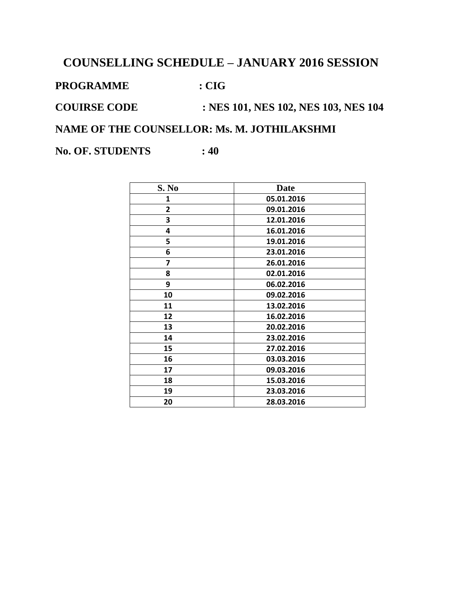**PROGRAMME : CIG**

**COUIRSE CODE : NES 101, NES 102, NES 103, NES 104**

**NAME OF THE COUNSELLOR: Ms. M. JOTHILAKSHMI**

**No. OF. STUDENTS : 40** 

| S. No | Date       |
|-------|------------|
| 1     | 05.01.2016 |
| 2     | 09.01.2016 |
| 3     | 12.01.2016 |
| 4     | 16.01.2016 |
| 5     | 19.01.2016 |
| 6     | 23.01.2016 |
| 7     | 26.01.2016 |
| 8     | 02.01.2016 |
| 9     | 06.02.2016 |
| 10    | 09.02.2016 |
| 11    | 13.02.2016 |
| 12    | 16.02.2016 |
| 13    | 20.02.2016 |
| 14    | 23.02.2016 |
| 15    | 27.02.2016 |
| 16    | 03.03.2016 |
| 17    | 09.03.2016 |
| 18    | 15.03.2016 |
| 19    | 23.03.2016 |
| 20    | 28.03.2016 |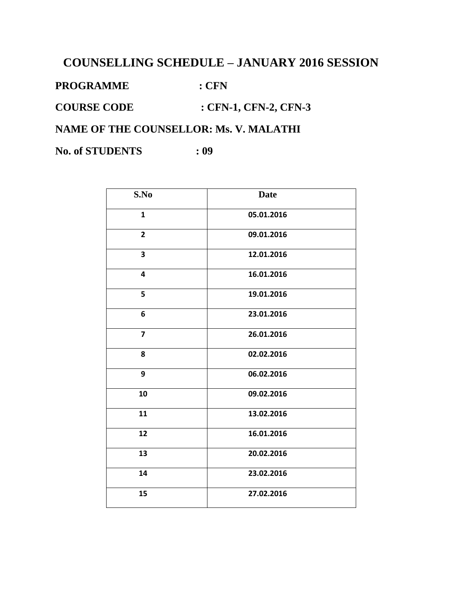PROGRAMME : CFN

**COURSE CODE : CFN-1, CFN-2, CFN-3**

**NAME OF THE COUNSELLOR: Ms. V. MALATHI**

**No. of STUDENTS : 09**

| S.No           | <b>Date</b> |
|----------------|-------------|
| $\mathbf{1}$   | 05.01.2016  |
| $\overline{2}$ | 09.01.2016  |
| 3              | 12.01.2016  |
| 4              | 16.01.2016  |
| 5              | 19.01.2016  |
| 6              | 23.01.2016  |
| $\overline{7}$ | 26.01.2016  |
| 8              | 02.02.2016  |
| 9              | 06.02.2016  |
| 10             | 09.02.2016  |
| 11             | 13.02.2016  |
| 12             | 16.01.2016  |
| 13             | 20.02.2016  |
| 14             | 23.02.2016  |
| 15             | 27.02.2016  |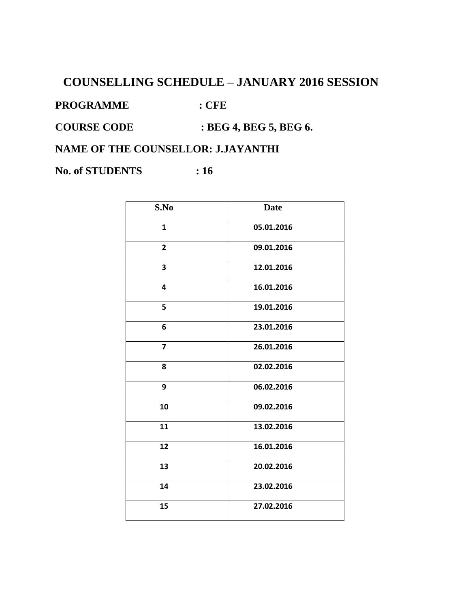PROGRAMME : CFE

**COURSE CODE : BEG 4, BEG 5, BEG 6.**

**NAME OF THE COUNSELLOR: J.JAYANTHI**

**No. of STUDENTS : 16** 

| S.No                    | <b>Date</b> |
|-------------------------|-------------|
| $\mathbf{1}$            | 05.01.2016  |
| $\overline{2}$          | 09.01.2016  |
| 3                       | 12.01.2016  |
| 4                       | 16.01.2016  |
| 5                       | 19.01.2016  |
| 6                       | 23.01.2016  |
| $\overline{\mathbf{z}}$ | 26.01.2016  |
| 8                       | 02.02.2016  |
| 9                       | 06.02.2016  |
| 10                      | 09.02.2016  |
| 11                      | 13.02.2016  |
| 12                      | 16.01.2016  |
| 13                      | 20.02.2016  |
| 14                      | 23.02.2016  |
| 15                      | 27.02.2016  |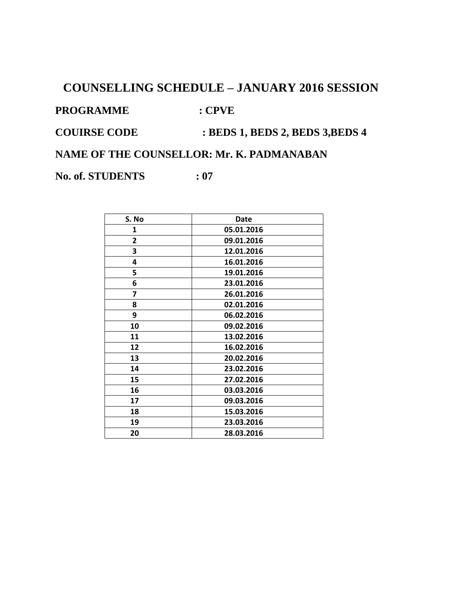PROGRAMME : CPVE

**COUIRSE CODE : BEDS 1, BEDS 2, BEDS 3,BEDS 4**

**NAME OF THE COUNSELLOR: Mr. K. PADMANABAN**

**No. of. STUDENTS : 07**

| S. No        | Date       |
|--------------|------------|
| 1            | 05.01.2016 |
| $\mathbf{2}$ | 09.01.2016 |
| 3            | 12.01.2016 |
| 4            | 16.01.2016 |
| 5            | 19.01.2016 |
| 6            | 23.01.2016 |
| 7            | 26.01.2016 |
| 8            | 02.01.2016 |
| 9            | 06.02.2016 |
| 10           | 09.02.2016 |
| 11           | 13.02.2016 |
| 12           | 16.02.2016 |
| 13           | 20.02.2016 |
| 14           | 23.02.2016 |
| 15           | 27.02.2016 |
| 16           | 03.03.2016 |
| 17           | 09.03.2016 |
| 18           | 15.03.2016 |
| 19           | 23.03.2016 |
| 20           | 28.03.2016 |